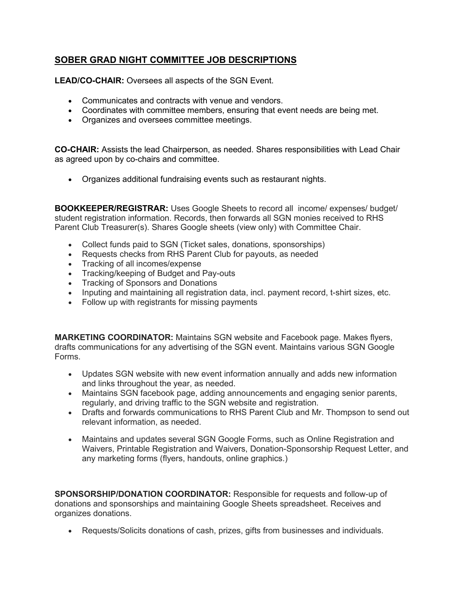## **SOBER GRAD NIGHT COMMITTEE JOB DESCRIPTIONS**

**LEAD/CO-CHAIR:** Oversees all aspects of the SGN Event.

- Communicates and contracts with venue and vendors.
- Coordinates with committee members, ensuring that event needs are being met.
- Organizes and oversees committee meetings.

**CO-CHAIR:** Assists the lead Chairperson, as needed. Shares responsibilities with Lead Chair as agreed upon by co-chairs and committee.

• Organizes additional fundraising events such as restaurant nights.

**BOOKKEEPER/REGISTRAR:** Uses Google Sheets to record all income/ expenses/ budget/ student registration information. Records, then forwards all SGN monies received to RHS Parent Club Treasurer(s). Shares Google sheets (view only) with Committee Chair.

- Collect funds paid to SGN (Ticket sales, donations, sponsorships)
- Requests checks from RHS Parent Club for payouts, as needed
- Tracking of all incomes/expense
- Tracking/keeping of Budget and Pay-outs
- Tracking of Sponsors and Donations
- Inputing and maintaining all registration data, incl. payment record, t-shirt sizes, etc.
- Follow up with registrants for missing payments

**MARKETING COORDINATOR:** Maintains SGN website and Facebook page. Makes flyers, drafts communications for any advertising of the SGN event. Maintains various SGN Google Forms.

- Updates SGN website with new event information annually and adds new information and links throughout the year, as needed.
- Maintains SGN facebook page, adding announcements and engaging senior parents, regularly, and driving traffic to the SGN website and registration.
- Drafts and forwards communications to RHS Parent Club and Mr. Thompson to send out relevant information, as needed.
- Maintains and updates several SGN Google Forms, such as Online Registration and Waivers, Printable Registration and Waivers, Donation-Sponsorship Request Letter, and any marketing forms (flyers, handouts, online graphics.)

**SPONSORSHIP/DONATION COORDINATOR:** Responsible for requests and follow-up of donations and sponsorships and maintaining Google Sheets spreadsheet. Receives and organizes donations.

• Requests/Solicits donations of cash, prizes, gifts from businesses and individuals.